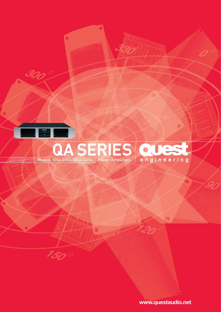

1500

# Models 1004/2004/3004/4004 Power Amplifiers engineering

www.questaudio.net

20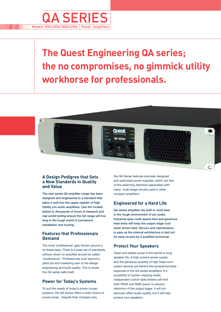

# **The Quest Engineering QA series; the no compromises, no gimmick utility workhorse for professionals.**



#### **A Design Pedigree that Sets a New Standards in Quality and Value**

The new series QA amplifier range has been designed and engineered to a standard that takes it well into the upper register of high fidelity pro audio amplifiers. Like the models before it, thousands of hours of research and real world testing ensure the QA range will live long in the tough world of permanent installation and touring.

#### **Features that Professionals Demand**

The word 'professional' gets thrown around a lot these days. There is a base set of standards, without which no amplifier should be called "professional." Professionals look beyond a paint job and marketing spin to the design engineering and build quality. This is where the  $\cap$ A series sells itself

# **Power for Today's Systems**

To suit the needs of today's power hungry systems, the QA Series offers a wide choice of power levels. Despite their compact size,

the QA Series features precisely designed and optimized power supplies, which are free of the switching distortion associated with many multi-stage circuits used in other compact amplifiers.

# **Engineered for a Hard Life**

QA series amplifies are built to work hard in the tough environment of pro audio. Industrial spec multi-speed fans and generous heat sinks will keep the output stage cool when driven hard. Service and maintenance is easy as the internal architecture is laid out for easy access by a qualified technician.

# **Protect Your Speakers**

Clean and stable power is the secret to long speaker life. A high current power supply and the generous quantity of high head room output devices are behind the exceptional bass response of the QA series amplifiers. If a possibility of system clipping exists, independent switch-able limiters will limit both PEAK and RMS power to prevent distortion of the output stage. It will not seriously affect audio quality but it will help protect your speakers.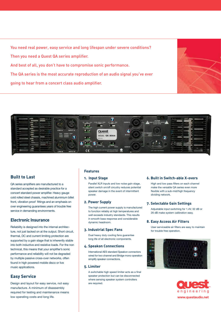You need real power, easy service and long lifespan under severe conditions? Then you need a Quest QA series amplifier. And best of all, you don't have to compromise sonic performance. The QA series is the most accurate reproduction of an audio signal you've ever

going to hear from a concert class audio amplifier.





# **Built to Last**

QA series amplifiers are manufactured to a standard accepted as desirable practice for a concert standard power amplifier. Heavy gauge cold rolled steel chassis, machined aluminium billet front, vibration proof fittings and an emphasis on over engineering guarantees years of trouble free service in demanding environments.

# **Electronic Insurance**

Reliability is designed into the internal architecture, not just tacked on at the output. Short circuit, thermal, DC and current limiting protection are supported by a gain stage that is inherently stable into both inductive and resistive loads. For the non technical, this means that your amplifier's sonic performance and reliability will not be degraded by multiple passive cross-over networks, often found in high powered mobile disco or live music applications.

# **Easy Service**

Design and layout for easy service, not easy manufacture. A minimum of disassembly required for testing and maintenance means low operating costs and long life.

#### **Features**

#### **1. Input Stage**

Parallel XLR inputs and low noise gain stage, silent switch on/off circuitry reduces potential speaker damage in the event of intermittent power.

#### **2. Power Supply**

The high current power supply is manufactured to function reliably at high temperatures and well exceeds industry standards. This results in smooth bass response and considerable dynamic headroom.

#### **3. Industrial Spec Fans**

Dual heavy duty cooling fans guarantee long life of all electronic components.

#### **4. Speakon Connections**

International AES standard Speakon connectors wired for two channel and Bridge mono operation simplify speaker connections.

#### **5. Limiter**

A switchable high speed limiter acts as a final speaker protection but can be disconnected where sensing speaker system controllers are required.

#### **6. Built in Switch-able X-overs**

High and low pass filters on each channel make the versatile QA series even more flexible with a sub-mid/high frequency dividing network.

#### **7. Selectable Gain Settings**

Adjustable input switching for 1.4V, 32 dB or 26 dB make system calibration easy.

#### **8. Easy Access Air Filters**

User serviceable air filters are easy to maintain for trouble free operation.